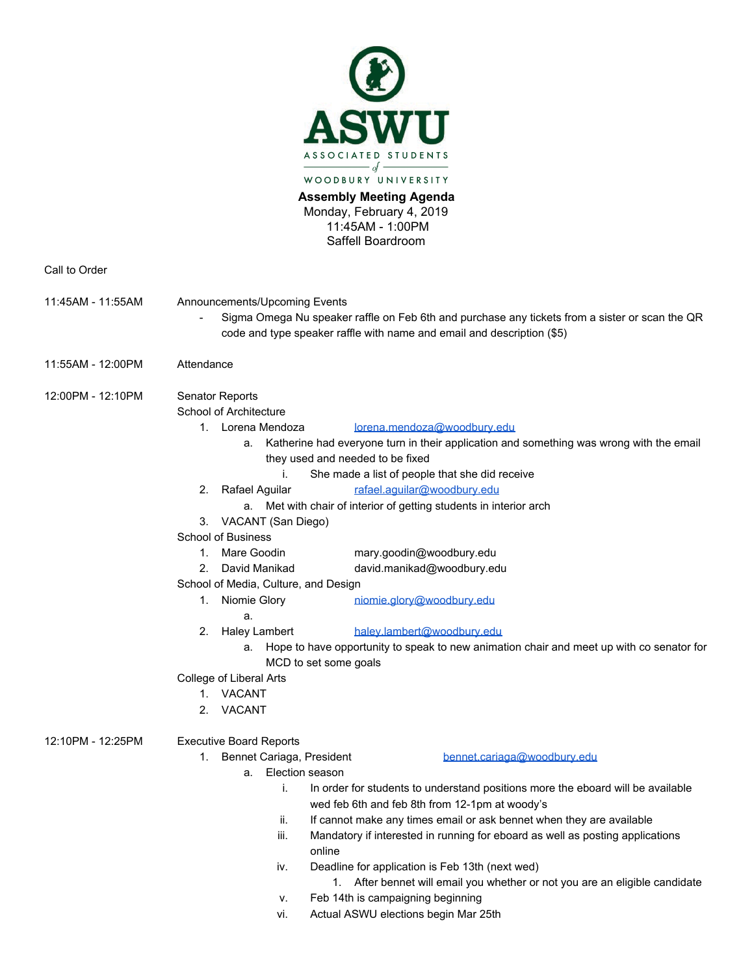

**Assembly Meeting Agenda**  Monday, February 4, 2019 11:45AM - 1:00PM Saffell Boardroom

Call to Order

- 11:45AM 11:55AM Announcements/Upcoming Events
	- Sigma Omega Nu speaker raffle on Feb 6th and purchase any tickets from a sister or scan the QR code and type speaker raffle with name and email and description (\$5)
- 11:55AM 12:00PM Attendance
- 12:00PM 12:10PM Senator Reports
	- School of Architecture
		- 1. Lorena Mendoza [lorena.mendoza@woodbury.edu](mailto:lorena.mendoza@woodbury.edu)
			- a. Katherine had everyone turn in their application and something was wrong with the email they used and needed to be fixed
				- i. She made a list of people that she did receive
		- 2. Rafael Aguilar [rafael.aguilar@woodbury.edu](mailto:rafael.aguilar@woodbury.edu)
			- a. Met with chair of interior of getting students in interior arch
		- 3. VACANT (San Diego)
	- School of Business
		- 1. Mare Goodin mary.goodin@woodbury.edu
		- 2. David Manikad david.manikad@woodbury.edu
	- School of Media, Culture, and Design
		- 1. Niomie Glory [niomie.glory@woodbury.edu](mailto:niomie.glory@woodbury.edu)
			- a.
- 
- 2. Haley Lambert [haley.lambert@woodbury.edu](mailto:haley.lambert@woodbury.edu)
	- a. Hope to have opportunity to speak to new animation chair and meet up with co senator for MCD to set some goals
- College of Liberal Arts
	- 1. VACANT
	- 2. VACANT

12:10PM - 12:25PM Executive Board Reports

1. Bennet Cariaga, President [bennet.cariaga@woodbury.edu](mailto:bennet.cariaga@woodbury.edu)

- a. Election season
	- i. In order for students to understand positions more the eboard will be available wed feb 6th and feb 8th from 12-1pm at woody's
	- ii. If cannot make any times email or ask bennet when they are available
	- iii. Mandatory if interested in running for eboard as well as posting applications online
	- iv. Deadline for application is Feb 13th (next wed)
		- 1. After bennet will email you whether or not you are an eligible candidate
	- v. Feb 14th is campaigning beginning
	- vi. Actual ASWU elections begin Mar 25th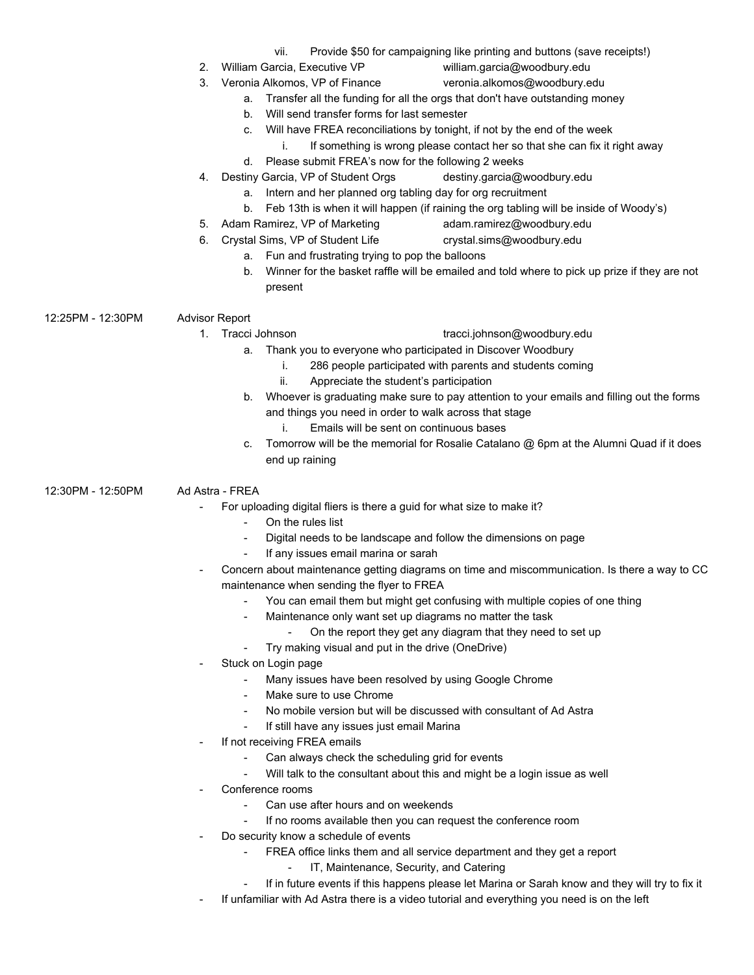- vii. Provide \$50 for campaigning like printing and buttons (save receipts!)
- 2. William Garcia, Executive VP william.garcia@woodbury.edu
	-
- 3. Veronia Alkomos, VP of Finance veronia.alkomos@woodbury.edu
	- a. Transfer all the funding for all the orgs that don't have outstanding money
	- b. Will send transfer forms for last semester
	- c. Will have FREA reconciliations by tonight, if not by the end of the week
		- i. If something is wrong please contact her so that she can fix it right away
	- d. Please submit FREA's now for the following 2 weeks
- 4. Destiny Garcia, VP of Student Orgs destiny.garcia@woodbury.edu
	- a. Intern and her planned org tabling day for org recruitment
	- b. Feb 13th is when it will happen (if raining the org tabling will be inside of Woody's)
- 5. Adam Ramirez, VP of Marketing adam.ramirez@woodbury.edu
- 6. Crystal Sims, VP of Student Life crystal.sims@woodbury.edu
	- a. Fun and frustrating trying to pop the balloons
		- b. Winner for the basket raffle will be emailed and told where to pick up prize if they are not present

12:25PM - 12:30PM Advisor Report

- 1. Tracci Johnson tracci.johnson@woodbury.edu
	- a. Thank you to everyone who participated in Discover Woodbury
		- i. 286 people participated with parents and students coming
		- ii. Appreciate the student's participation
	- b. Whoever is graduating make sure to pay attention to your emails and filling out the forms and things you need in order to walk across that stage
		- i. Emails will be sent on continuous bases
	- c. Tomorrow will be the memorial for Rosalie Catalano @ 6pm at the Alumni Quad if it does end up raining

12:30PM - 12:50PM Ad Astra - FREA

- For uploading digital fliers is there a guid for what size to make it?
	- On the rules list
	- Digital needs to be landscape and follow the dimensions on page
	- If any issues email marina or sarah
- Concern about maintenance getting diagrams on time and miscommunication. Is there a way to CC maintenance when sending the flyer to FREA
	- You can email them but might get confusing with multiple copies of one thing
	- Maintenance only want set up diagrams no matter the task
		- On the report they get any diagram that they need to set up
	- Try making visual and put in the drive (OneDrive)
- Stuck on Login page
	- Many issues have been resolved by using Google Chrome
	- Make sure to use Chrome
	- No mobile version but will be discussed with consultant of Ad Astra
	- If still have any issues just email Marina
- If not receiving FREA emails
	- Can always check the scheduling grid for events
	- Will talk to the consultant about this and might be a login issue as well
- Conference rooms
	- Can use after hours and on weekends
		- If no rooms available then you can request the conference room
- Do security know a schedule of events
	- FREA office links them and all service department and they get a report
		- IT, Maintenance, Security, and Catering
	- If in future events if this happens please let Marina or Sarah know and they will try to fix it
- If unfamiliar with Ad Astra there is a video tutorial and everything you need is on the left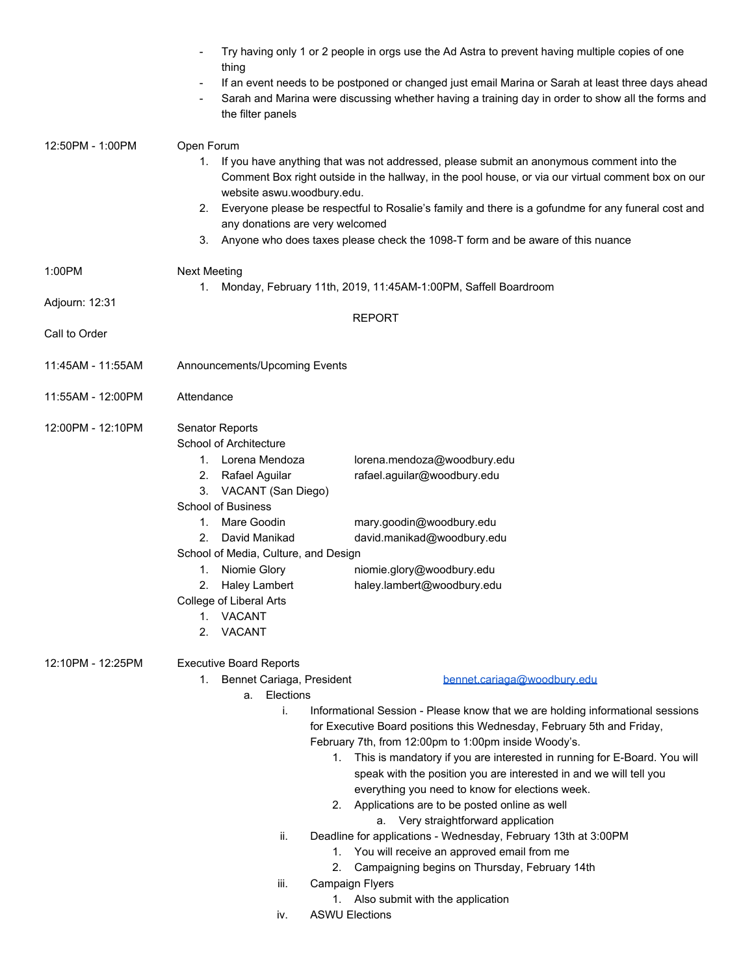|                   | Try having only 1 or 2 people in orgs use the Ad Astra to prevent having multiple copies of one<br>thing<br>If an event needs to be postponed or changed just email Marina or Sarah at least three days ahead<br>Sarah and Marina were discussing whether having a training day in order to show all the forms and<br>the filter panels                                                                                                                                                                                                                                                                                                                                                                                                                                                                                                                                                                                      |  |  |  |  |
|-------------------|------------------------------------------------------------------------------------------------------------------------------------------------------------------------------------------------------------------------------------------------------------------------------------------------------------------------------------------------------------------------------------------------------------------------------------------------------------------------------------------------------------------------------------------------------------------------------------------------------------------------------------------------------------------------------------------------------------------------------------------------------------------------------------------------------------------------------------------------------------------------------------------------------------------------------|--|--|--|--|
| 12:50PM - 1:00PM  | Open Forum<br>If you have anything that was not addressed, please submit an anonymous comment into the<br>1.<br>Comment Box right outside in the hallway, in the pool house, or via our virtual comment box on our<br>website aswu.woodbury.edu.<br>Everyone please be respectful to Rosalie's family and there is a gofundme for any funeral cost and<br>2.<br>any donations are very welcomed<br>Anyone who does taxes please check the 1098-T form and be aware of this nuance<br>3.                                                                                                                                                                                                                                                                                                                                                                                                                                      |  |  |  |  |
| 1:00PM            | <b>Next Meeting</b>                                                                                                                                                                                                                                                                                                                                                                                                                                                                                                                                                                                                                                                                                                                                                                                                                                                                                                          |  |  |  |  |
| Adjourn: 12:31    | Monday, February 11th, 2019, 11:45AM-1:00PM, Saffell Boardroom<br>1.                                                                                                                                                                                                                                                                                                                                                                                                                                                                                                                                                                                                                                                                                                                                                                                                                                                         |  |  |  |  |
| Call to Order     | <b>REPORT</b>                                                                                                                                                                                                                                                                                                                                                                                                                                                                                                                                                                                                                                                                                                                                                                                                                                                                                                                |  |  |  |  |
| 11:45AM - 11:55AM | Announcements/Upcoming Events                                                                                                                                                                                                                                                                                                                                                                                                                                                                                                                                                                                                                                                                                                                                                                                                                                                                                                |  |  |  |  |
| 11:55AM - 12:00PM | Attendance                                                                                                                                                                                                                                                                                                                                                                                                                                                                                                                                                                                                                                                                                                                                                                                                                                                                                                                   |  |  |  |  |
| 12:00PM - 12:10PM | <b>Senator Reports</b><br>School of Architecture<br>1. Lorena Mendoza<br>lorena.mendoza@woodbury.edu<br>rafael.aguilar@woodbury.edu<br>2.<br>Rafael Aguilar<br>3. VACANT (San Diego)<br>School of Business<br>Mare Goodin<br>mary.goodin@woodbury.edu<br>1.<br>David Manikad<br>david.manikad@woodbury.edu<br>2.<br>School of Media, Culture, and Design<br>Niomie Glory<br>niomie.glory@woodbury.edu<br>1.<br>2.<br><b>Haley Lambert</b><br>haley.lambert@woodbury.edu<br>College of Liberal Arts<br>VACANT<br>$1_{-}$<br><b>VACANT</b><br>2.                                                                                                                                                                                                                                                                                                                                                                               |  |  |  |  |
| 12:10PM - 12:25PM | <b>Executive Board Reports</b><br>1. Bennet Cariaga, President<br>bennet.cariaga@woodbury.edu<br>Elections<br>а.<br>j.<br>Informational Session - Please know that we are holding informational sessions<br>for Executive Board positions this Wednesday, February 5th and Friday,<br>February 7th, from 12:00pm to 1:00pm inside Woody's.<br>1. This is mandatory if you are interested in running for E-Board. You will<br>speak with the position you are interested in and we will tell you<br>everything you need to know for elections week.<br>2. Applications are to be posted online as well<br>a. Very straightforward application<br>Deadline for applications - Wednesday, February 13th at 3:00PM<br>ii.<br>1. You will receive an approved email from me<br>2. Campaigning begins on Thursday, February 14th<br>Campaign Flyers<br>iii.<br>1. Also submit with the application<br><b>ASWU Elections</b><br>İV. |  |  |  |  |